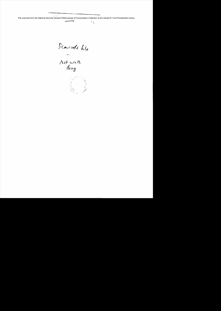File scanned from the National Security Adviser's Memoranda of Conversation Collection at the Gerald R. Ford Presidential Library

- 7



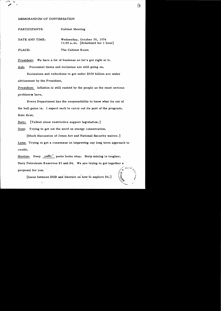## MEMORANDUM OF CONVERSATION

PARTICIPANTS: Cabinet Meeting

| DATE AND TIME: | Wednesday, October 30, 1974<br>$11:00$ a.m. [Scheduled for 1 hour] |
|----------------|--------------------------------------------------------------------|
| PLACE:         | The Cabinet Room                                                   |

President: We have a lot of business so let's get right at it.

Ash: Personnel items and reclamas are still going on.

Recissions and reductions to get under \$300 billion are under advisement by the President.

President: Inflation is still ranked by the people as the most serious problem we have.

Every Department has the responsibility to know what its out of the ball game is. I expect each to carry out its part of the program. Butz first.

Butz: [Talked about restrictive support legislation.]

Dent: Trying to get out the word on energy conservation.

[Much discussion of Jones Act and National Security waiver.] Lynn: Trying to get a consensus on improving our long term approach to credit.

Morton: Deep  $\omega^{\mathcal{I} \mu}$  ports looks okay. Strip mining is tougher. Navy Petroleum Reserves  $#1$  and  $#4$ . We are trying to get together a proposal for you.

[Issue between DOD and Interior on how to explore  $#4.$ ]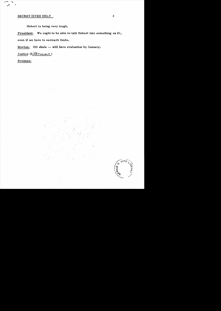## SECRET *IE* YES ONLY

Hebert is being very tough.

President: We ought to be able to talk Hebert into something on #1, even if we have to earmark funds.

 $\mathcal{N}$  .

f.;

Morton: Oil shale -- will have evaluation by January.

Justice (Silberman)

Brennan: